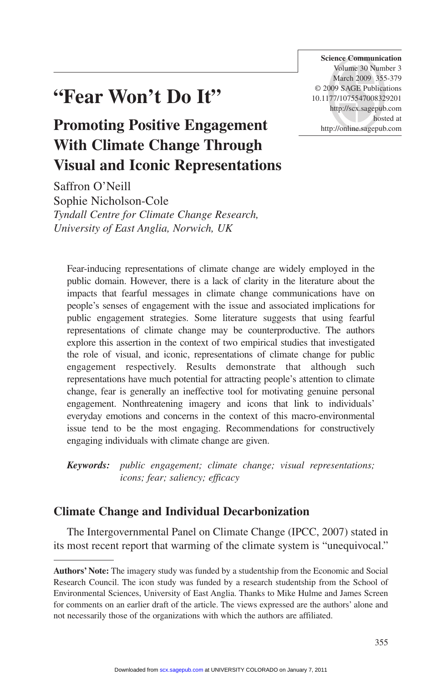# **"Fear Won't Do It"**

**Science Communication** Volume 30 Number 3 March 2009 355-379 © 2009 SAGE Publications 10.1177/1075547008329201 http://scx.sagepub.com hosted at http://online.sagepub.com

# **Promoting Positive Engagement With Climate Change Through Visual and Iconic Representations**

Saffron O'Neill Sophie Nicholson-Cole *Tyndall Centre for Climate Change Research, University of East Anglia, Norwich, UK*

Fear-inducing representations of climate change are widely employed in the public domain. However, there is a lack of clarity in the literature about the impacts that fearful messages in climate change communications have on people's senses of engagement with the issue and associated implications for public engagement strategies. Some literature suggests that using fearful representations of climate change may be counterproductive. The authors explore this assertion in the context of two empirical studies that investigated the role of visual, and iconic, representations of climate change for public engagement respectively. Results demonstrate that although such representations have much potential for attracting people's attention to climate change, fear is generally an ineffective tool for motivating genuine personal engagement. Nonthreatening imagery and icons that link to individuals' everyday emotions and concerns in the context of this macro-environmental issue tend to be the most engaging. Recommendations for constructively engaging individuals with climate change are given.

*Keywords: public engagement; climate change; visual representations; icons; fear; saliency; efficacy*

# **Climate Change and Individual Decarbonization**

The Intergovernmental Panel on Climate Change (IPCC, 2007) stated in its most recent report that warming of the climate system is "unequivocal."

**Authors' Note:** The imagery study was funded by a studentship from the Economic and Social Research Council. The icon study was funded by a research studentship from the School of Environmental Sciences, University of East Anglia. Thanks to Mike Hulme and James Screen for comments on an earlier draft of the article. The views expressed are the authors' alone and not necessarily those of the organizations with which the authors are affiliated.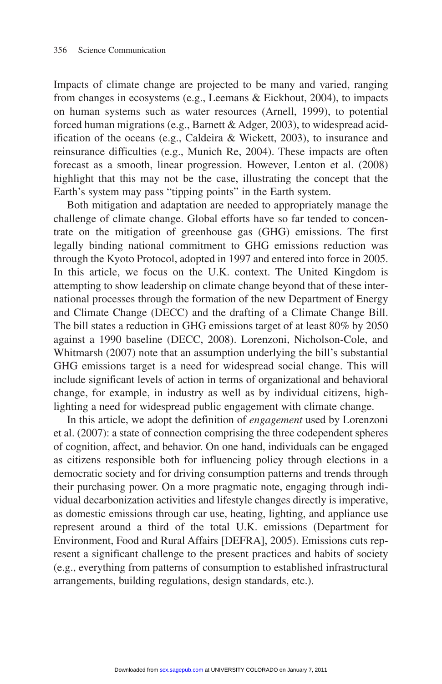Impacts of climate change are projected to be many and varied, ranging from changes in ecosystems (e.g., Leemans & Eickhout, 2004), to impacts on human systems such as water resources (Arnell, 1999), to potential forced human migrations (e.g., Barnett & Adger, 2003), to widespread acidification of the oceans (e.g., Caldeira & Wickett, 2003), to insurance and reinsurance difficulties (e.g., Munich Re, 2004). These impacts are often forecast as a smooth, linear progression. However, Lenton et al. (2008) highlight that this may not be the case, illustrating the concept that the Earth's system may pass "tipping points" in the Earth system.

Both mitigation and adaptation are needed to appropriately manage the challenge of climate change. Global efforts have so far tended to concentrate on the mitigation of greenhouse gas (GHG) emissions. The first legally binding national commitment to GHG emissions reduction was through the Kyoto Protocol, adopted in 1997 and entered into force in 2005. In this article, we focus on the U.K. context. The United Kingdom is attempting to show leadership on climate change beyond that of these international processes through the formation of the new Department of Energy and Climate Change (DECC) and the drafting of a Climate Change Bill. The bill states a reduction in GHG emissions target of at least 80% by 2050 against a 1990 baseline (DECC, 2008). Lorenzoni, Nicholson-Cole, and Whitmarsh (2007) note that an assumption underlying the bill's substantial GHG emissions target is a need for widespread social change. This will include significant levels of action in terms of organizational and behavioral change, for example, in industry as well as by individual citizens, highlighting a need for widespread public engagement with climate change.

In this article, we adopt the definition of *engagement* used by Lorenzoni et al. (2007): a state of connection comprising the three codependent spheres of cognition, affect, and behavior. On one hand, individuals can be engaged as citizens responsible both for influencing policy through elections in a democratic society and for driving consumption patterns and trends through their purchasing power. On a more pragmatic note, engaging through individual decarbonization activities and lifestyle changes directly is imperative, as domestic emissions through car use, heating, lighting, and appliance use represent around a third of the total U.K. emissions (Department for Environment, Food and Rural Affairs [DEFRA], 2005). Emissions cuts represent a significant challenge to the present practices and habits of society (e.g., everything from patterns of consumption to established infrastructural arrangements, building regulations, design standards, etc.).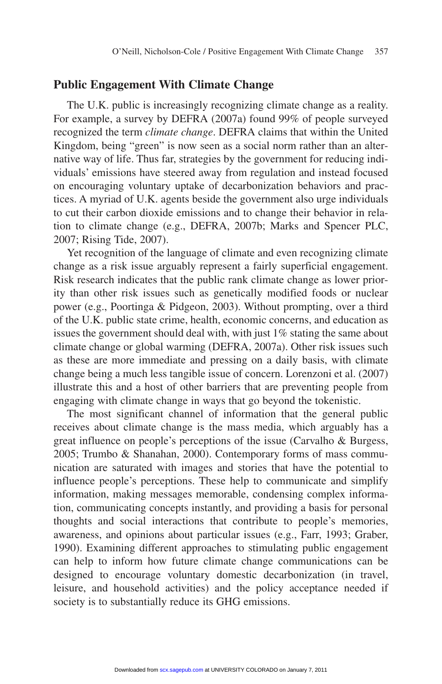#### **Public Engagement With Climate Change**

The U.K. public is increasingly recognizing climate change as a reality. For example, a survey by DEFRA (2007a) found 99% of people surveyed recognized the term *climate change*. DEFRA claims that within the United Kingdom, being "green" is now seen as a social norm rather than an alternative way of life. Thus far, strategies by the government for reducing individuals' emissions have steered away from regulation and instead focused on encouraging voluntary uptake of decarbonization behaviors and practices. A myriad of U.K. agents beside the government also urge individuals to cut their carbon dioxide emissions and to change their behavior in relation to climate change (e.g., DEFRA, 2007b; Marks and Spencer PLC, 2007; Rising Tide, 2007).

Yet recognition of the language of climate and even recognizing climate change as a risk issue arguably represent a fairly superficial engagement. Risk research indicates that the public rank climate change as lower priority than other risk issues such as genetically modified foods or nuclear power (e.g., Poortinga & Pidgeon, 2003). Without prompting, over a third of the U.K. public state crime, health, economic concerns, and education as issues the government should deal with, with just  $1\%$  stating the same about climate change or global warming (DEFRA, 2007a). Other risk issues such as these are more immediate and pressing on a daily basis, with climate change being a much less tangible issue of concern. Lorenzoni et al. (2007) illustrate this and a host of other barriers that are preventing people from engaging with climate change in ways that go beyond the tokenistic.

The most significant channel of information that the general public receives about climate change is the mass media, which arguably has a great influence on people's perceptions of the issue (Carvalho & Burgess, 2005; Trumbo & Shanahan, 2000). Contemporary forms of mass communication are saturated with images and stories that have the potential to influence people's perceptions. These help to communicate and simplify information, making messages memorable, condensing complex information, communicating concepts instantly, and providing a basis for personal thoughts and social interactions that contribute to people's memories, awareness, and opinions about particular issues (e.g., Farr, 1993; Graber, 1990). Examining different approaches to stimulating public engagement can help to inform how future climate change communications can be designed to encourage voluntary domestic decarbonization (in travel, leisure, and household activities) and the policy acceptance needed if society is to substantially reduce its GHG emissions.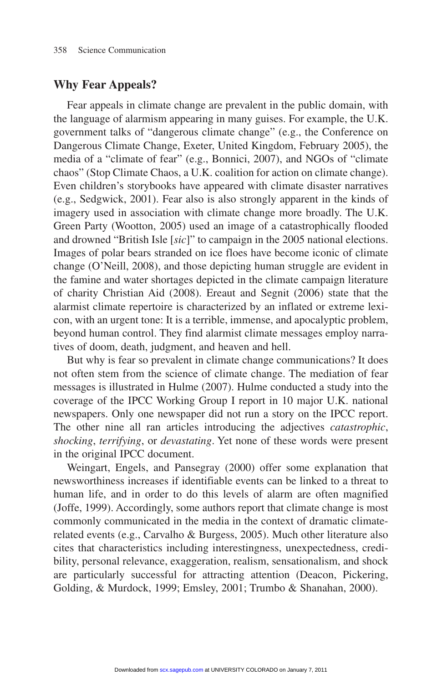#### **Why Fear Appeals?**

Fear appeals in climate change are prevalent in the public domain, with the language of alarmism appearing in many guises. For example, the U.K. government talks of "dangerous climate change" (e.g., the Conference on Dangerous Climate Change, Exeter, United Kingdom, February 2005), the media of a "climate of fear" (e.g., Bonnici, 2007), and NGOs of "climate chaos" (Stop Climate Chaos, a U.K. coalition for action on climate change). Even children's storybooks have appeared with climate disaster narratives (e.g., Sedgwick, 2001). Fear also is also strongly apparent in the kinds of imagery used in association with climate change more broadly. The U.K. Green Party (Wootton, 2005) used an image of a catastrophically flooded and drowned "British Isle [*sic*]" to campaign in the 2005 national elections. Images of polar bears stranded on ice floes have become iconic of climate change (O'Neill, 2008), and those depicting human struggle are evident in the famine and water shortages depicted in the climate campaign literature of charity Christian Aid (2008). Ereaut and Segnit (2006) state that the alarmist climate repertoire is characterized by an inflated or extreme lexicon, with an urgent tone: It is a terrible, immense, and apocalyptic problem, beyond human control. They find alarmist climate messages employ narratives of doom, death, judgment, and heaven and hell.

But why is fear so prevalent in climate change communications? It does not often stem from the science of climate change. The mediation of fear messages is illustrated in Hulme (2007). Hulme conducted a study into the coverage of the IPCC Working Group I report in 10 major U.K. national newspapers. Only one newspaper did not run a story on the IPCC report. The other nine all ran articles introducing the adjectives *catastrophic*, *shocking*, *terrifying*, or *devastating*. Yet none of these words were present in the original IPCC document.

Weingart, Engels, and Pansegray (2000) offer some explanation that newsworthiness increases if identifiable events can be linked to a threat to human life, and in order to do this levels of alarm are often magnified (Joffe, 1999). Accordingly, some authors report that climate change is most commonly communicated in the media in the context of dramatic climaterelated events (e.g., Carvalho & Burgess, 2005). Much other literature also cites that characteristics including interestingness, unexpectedness, credibility, personal relevance, exaggeration, realism, sensationalism, and shock are particularly successful for attracting attention (Deacon, Pickering, Golding, & Murdock, 1999; Emsley, 2001; Trumbo & Shanahan, 2000).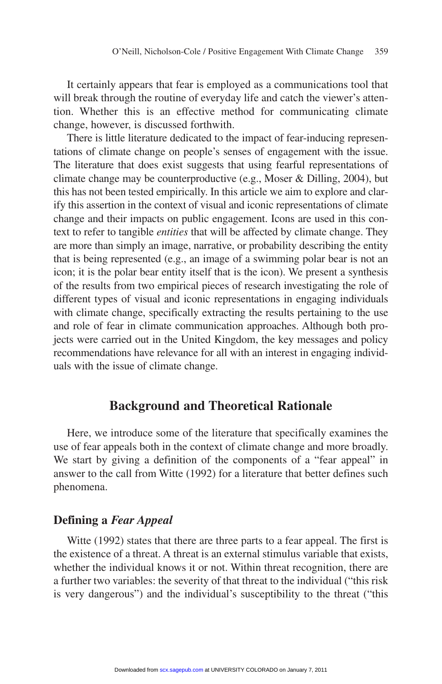It certainly appears that fear is employed as a communications tool that will break through the routine of everyday life and catch the viewer's attention. Whether this is an effective method for communicating climate change, however, is discussed forthwith.

There is little literature dedicated to the impact of fear-inducing representations of climate change on people's senses of engagement with the issue. The literature that does exist suggests that using fearful representations of climate change may be counterproductive (e.g., Moser & Dilling, 2004), but this has not been tested empirically. In this article we aim to explore and clarify this assertion in the context of visual and iconic representations of climate change and their impacts on public engagement. Icons are used in this context to refer to tangible *entities* that will be affected by climate change. They are more than simply an image, narrative, or probability describing the entity that is being represented (e.g., an image of a swimming polar bear is not an icon; it is the polar bear entity itself that is the icon). We present a synthesis of the results from two empirical pieces of research investigating the role of different types of visual and iconic representations in engaging individuals with climate change, specifically extracting the results pertaining to the use and role of fear in climate communication approaches. Although both projects were carried out in the United Kingdom, the key messages and policy recommendations have relevance for all with an interest in engaging individuals with the issue of climate change.

## **Background and Theoretical Rationale**

Here, we introduce some of the literature that specifically examines the use of fear appeals both in the context of climate change and more broadly. We start by giving a definition of the components of a "fear appeal" in answer to the call from Witte (1992) for a literature that better defines such phenomena.

### **Defining a** *Fear Appeal*

Witte (1992) states that there are three parts to a fear appeal. The first is the existence of a threat. A threat is an external stimulus variable that exists, whether the individual knows it or not. Within threat recognition, there are a further two variables: the severity of that threat to the individual ("this risk is very dangerous") and the individual's susceptibility to the threat ("this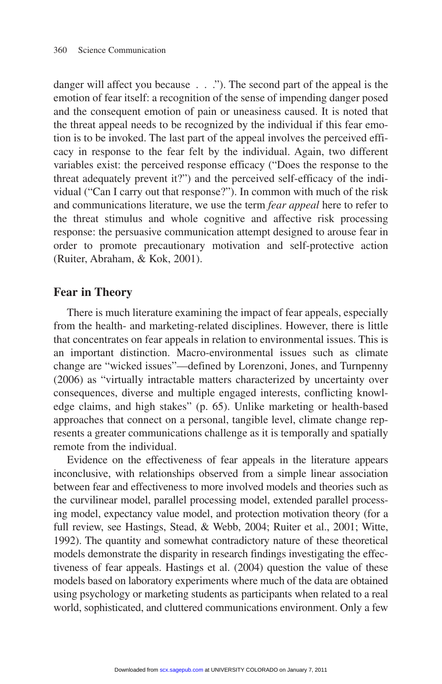danger will affect you because..."). The second part of the appeal is the emotion of fear itself: a recognition of the sense of impending danger posed and the consequent emotion of pain or uneasiness caused. It is noted that the threat appeal needs to be recognized by the individual if this fear emotion is to be invoked. The last part of the appeal involves the perceived efficacy in response to the fear felt by the individual. Again, two different variables exist: the perceived response efficacy ("Does the response to the threat adequately prevent it?") and the perceived self-efficacy of the individual ("Can I carry out that response?"). In common with much of the risk and communications literature, we use the term *fear appeal* here to refer to the threat stimulus and whole cognitive and affective risk processing response: the persuasive communication attempt designed to arouse fear in order to promote precautionary motivation and self-protective action (Ruiter, Abraham, & Kok, 2001).

#### **Fear in Theory**

There is much literature examining the impact of fear appeals, especially from the health- and marketing-related disciplines. However, there is little that concentrates on fear appeals in relation to environmental issues. This is an important distinction. Macro-environmental issues such as climate change are "wicked issues"—defined by Lorenzoni, Jones, and Turnpenny (2006) as "virtually intractable matters characterized by uncertainty over consequences, diverse and multiple engaged interests, conflicting knowledge claims, and high stakes" (p. 65). Unlike marketing or health-based approaches that connect on a personal, tangible level, climate change represents a greater communications challenge as it is temporally and spatially remote from the individual.

Evidence on the effectiveness of fear appeals in the literature appears inconclusive, with relationships observed from a simple linear association between fear and effectiveness to more involved models and theories such as the curvilinear model, parallel processing model, extended parallel processing model, expectancy value model, and protection motivation theory (for a full review, see Hastings, Stead, & Webb, 2004; Ruiter et al., 2001; Witte, 1992). The quantity and somewhat contradictory nature of these theoretical models demonstrate the disparity in research findings investigating the effectiveness of fear appeals. Hastings et al. (2004) question the value of these models based on laboratory experiments where much of the data are obtained using psychology or marketing students as participants when related to a real world, sophisticated, and cluttered communications environment. Only a few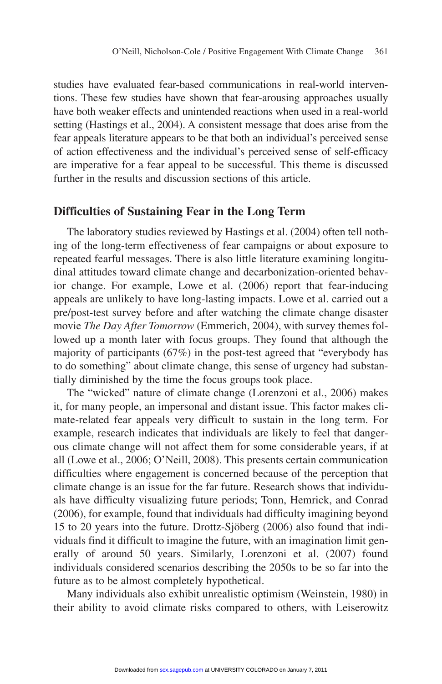studies have evaluated fear-based communications in real-world interventions. These few studies have shown that fear-arousing approaches usually have both weaker effects and unintended reactions when used in a real-world setting (Hastings et al., 2004). A consistent message that does arise from the fear appeals literature appears to be that both an individual's perceived sense of action effectiveness and the individual's perceived sense of self-efficacy are imperative for a fear appeal to be successful. This theme is discussed further in the results and discussion sections of this article.

#### **Difficulties of Sustaining Fear in the Long Term**

The laboratory studies reviewed by Hastings et al. (2004) often tell nothing of the long-term effectiveness of fear campaigns or about exposure to repeated fearful messages. There is also little literature examining longitudinal attitudes toward climate change and decarbonization-oriented behavior change. For example, Lowe et al. (2006) report that fear-inducing appeals are unlikely to have long-lasting impacts. Lowe et al. carried out a pre/post-test survey before and after watching the climate change disaster movie *The Day After Tomorrow* (Emmerich, 2004), with survey themes followed up a month later with focus groups. They found that although the majority of participants (67%) in the post-test agreed that "everybody has to do something" about climate change, this sense of urgency had substantially diminished by the time the focus groups took place.

The "wicked" nature of climate change (Lorenzoni et al., 2006) makes it, for many people, an impersonal and distant issue. This factor makes climate-related fear appeals very difficult to sustain in the long term. For example, research indicates that individuals are likely to feel that dangerous climate change will not affect them for some considerable years, if at all (Lowe et al., 2006; O'Neill, 2008). This presents certain communication difficulties where engagement is concerned because of the perception that climate change is an issue for the far future. Research shows that individuals have difficulty visualizing future periods; Tonn, Hemrick, and Conrad (2006), for example, found that individuals had difficulty imagining beyond 15 to 20 years into the future. Drottz-Sjöberg (2006) also found that individuals find it difficult to imagine the future, with an imagination limit generally of around 50 years. Similarly, Lorenzoni et al. (2007) found individuals considered scenarios describing the 2050s to be so far into the future as to be almost completely hypothetical.

Many individuals also exhibit unrealistic optimism (Weinstein, 1980) in their ability to avoid climate risks compared to others, with Leiserowitz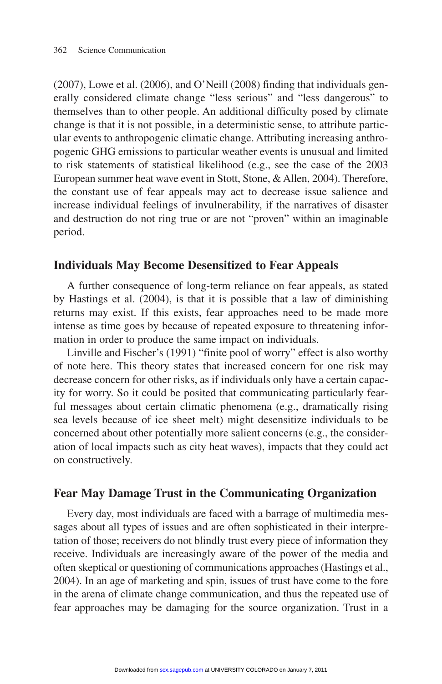(2007), Lowe et al. (2006), and O'Neill (2008) finding that individuals generally considered climate change "less serious" and "less dangerous" to themselves than to other people. An additional difficulty posed by climate change is that it is not possible, in a deterministic sense, to attribute particular events to anthropogenic climatic change. Attributing increasing anthropogenic GHG emissions to particular weather events is unusual and limited to risk statements of statistical likelihood (e.g., see the case of the 2003 European summer heat wave event in Stott, Stone, & Allen, 2004). Therefore, the constant use of fear appeals may act to decrease issue salience and increase individual feelings of invulnerability, if the narratives of disaster and destruction do not ring true or are not "proven" within an imaginable period.

#### **Individuals May Become Desensitized to Fear Appeals**

A further consequence of long-term reliance on fear appeals, as stated by Hastings et al. (2004), is that it is possible that a law of diminishing returns may exist. If this exists, fear approaches need to be made more intense as time goes by because of repeated exposure to threatening information in order to produce the same impact on individuals.

Linville and Fischer's (1991) "finite pool of worry" effect is also worthy of note here. This theory states that increased concern for one risk may decrease concern for other risks, as if individuals only have a certain capacity for worry. So it could be posited that communicating particularly fearful messages about certain climatic phenomena (e.g., dramatically rising sea levels because of ice sheet melt) might desensitize individuals to be concerned about other potentially more salient concerns (e.g., the consideration of local impacts such as city heat waves), impacts that they could act on constructively.

## **Fear May Damage Trust in the Communicating Organization**

Every day, most individuals are faced with a barrage of multimedia messages about all types of issues and are often sophisticated in their interpretation of those; receivers do not blindly trust every piece of information they receive. Individuals are increasingly aware of the power of the media and often skeptical or questioning of communications approaches (Hastings et al., 2004). In an age of marketing and spin, issues of trust have come to the fore in the arena of climate change communication, and thus the repeated use of fear approaches may be damaging for the source organization. Trust in a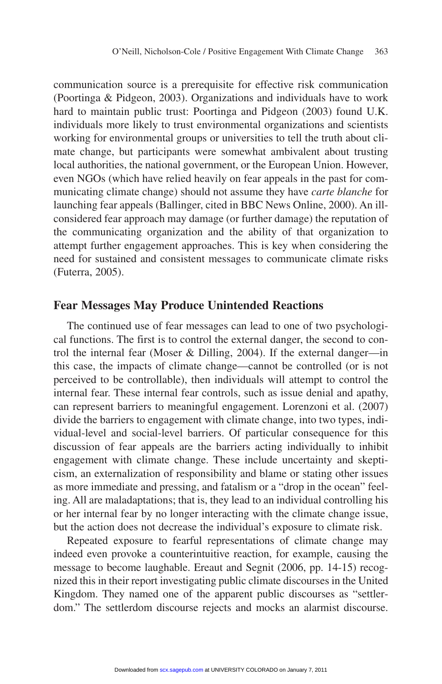communication source is a prerequisite for effective risk communication (Poortinga & Pidgeon, 2003). Organizations and individuals have to work hard to maintain public trust: Poortinga and Pidgeon (2003) found U.K. individuals more likely to trust environmental organizations and scientists working for environmental groups or universities to tell the truth about climate change, but participants were somewhat ambivalent about trusting local authorities, the national government, or the European Union. However, even NGOs (which have relied heavily on fear appeals in the past for communicating climate change) should not assume they have *carte blanche* for launching fear appeals (Ballinger, cited in BBC News Online, 2000). An illconsidered fear approach may damage (or further damage) the reputation of the communicating organization and the ability of that organization to attempt further engagement approaches. This is key when considering the need for sustained and consistent messages to communicate climate risks (Futerra, 2005).

#### **Fear Messages May Produce Unintended Reactions**

The continued use of fear messages can lead to one of two psychological functions. The first is to control the external danger, the second to control the internal fear (Moser & Dilling, 2004). If the external danger—in this case, the impacts of climate change—cannot be controlled (or is not perceived to be controllable), then individuals will attempt to control the internal fear. These internal fear controls, such as issue denial and apathy, can represent barriers to meaningful engagement. Lorenzoni et al. (2007) divide the barriers to engagement with climate change, into two types, individual-level and social-level barriers. Of particular consequence for this discussion of fear appeals are the barriers acting individually to inhibit engagement with climate change. These include uncertainty and skepticism, an externalization of responsibility and blame or stating other issues as more immediate and pressing, and fatalism or a "drop in the ocean" feeling. All are maladaptations; that is, they lead to an individual controlling his or her internal fear by no longer interacting with the climate change issue, but the action does not decrease the individual's exposure to climate risk.

Repeated exposure to fearful representations of climate change may indeed even provoke a counterintuitive reaction, for example, causing the message to become laughable. Ereaut and Segnit (2006, pp. 14-15) recognized this in their report investigating public climate discourses in the United Kingdom. They named one of the apparent public discourses as "settlerdom." The settlerdom discourse rejects and mocks an alarmist discourse.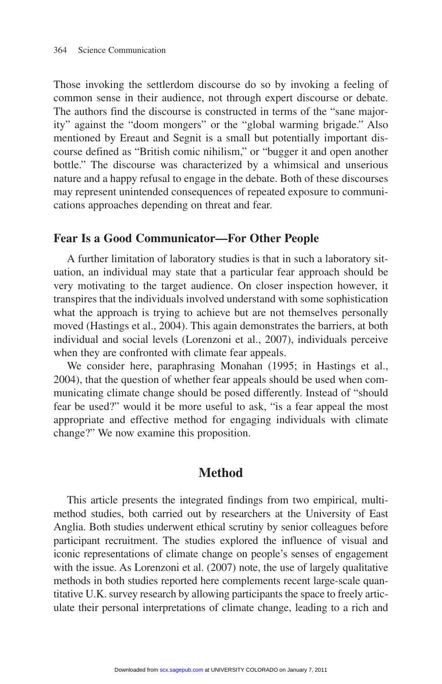Those invoking the settlerdom discourse do so by invoking a feeling of common sense in their audience, not through expert discourse or debate. The authors find the discourse is constructed in terms of the "sane majority" against the "doom mongers" or the "global warming brigade." Also mentioned by Ereaut and Segnit is a small but potentially important discourse defined as "British comic nihilism," or "bugger it and open another bottle." The discourse was characterized by a whimsical and unserious nature and a happy refusal to engage in the debate. Both of these discourses may represent unintended consequences of repeated exposure to communications approaches depending on threat and fear.

## **Fear Is a Good Communicator—For Other People**

A further limitation of laboratory studies is that in such a laboratory situation, an individual may state that a particular fear approach should be very motivating to the target audience. On closer inspection however, it transpires that the individuals involved understand with some sophistication what the approach is trying to achieve but are not themselves personally moved (Hastings et al., 2004). This again demonstrates the barriers, at both individual and social levels (Lorenzoni et al., 2007), individuals perceive when they are confronted with climate fear appeals.

We consider here, paraphrasing Monahan (1995; in Hastings et al., 2004), that the question of whether fear appeals should be used when communicating climate change should be posed differently. Instead of "should fear be used?" would it be more useful to ask, "is a fear appeal the most appropriate and effective method for engaging individuals with climate change?" We now examine this proposition.

### **Method**

This article presents the integrated findings from two empirical, multimethod studies, both carried out by researchers at the University of East Anglia. Both studies underwent ethical scrutiny by senior colleagues before participant recruitment. The studies explored the influence of visual and iconic representations of climate change on people's senses of engagement with the issue. As Lorenzoni et al. (2007) note, the use of largely qualitative methods in both studies reported here complements recent large-scale quantitative U.K. survey research by allowing participants the space to freely articulate their personal interpretations of climate change, leading to a rich and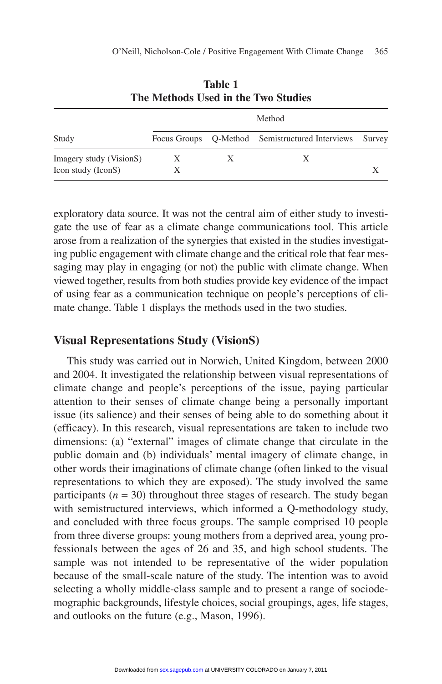|                                               | Method |   |                                                        |  |
|-----------------------------------------------|--------|---|--------------------------------------------------------|--|
| Study                                         |        |   | Focus Groups Q-Method Semistructured Interviews Survey |  |
| Imagery study (VisionS)<br>Icon study (IconS) | X      | X | Х                                                      |  |

**Table 1 The Methods Used in the Two Studies**

exploratory data source. It was not the central aim of either study to investigate the use of fear as a climate change communications tool. This article arose from a realization of the synergies that existed in the studies investigating public engagement with climate change and the critical role that fear messaging may play in engaging (or not) the public with climate change. When viewed together, results from both studies provide key evidence of the impact of using fear as a communication technique on people's perceptions of climate change. Table 1 displays the methods used in the two studies.

#### **Visual Representations Study (VisionS)**

This study was carried out in Norwich, United Kingdom, between 2000 and 2004. It investigated the relationship between visual representations of climate change and people's perceptions of the issue, paying particular attention to their senses of climate change being a personally important issue (its salience) and their senses of being able to do something about it (efficacy). In this research, visual representations are taken to include two dimensions: (a) "external" images of climate change that circulate in the public domain and (b) individuals' mental imagery of climate change, in other words their imaginations of climate change (often linked to the visual representations to which they are exposed). The study involved the same participants  $(n = 30)$  throughout three stages of research. The study began with semistructured interviews, which informed a Q-methodology study, and concluded with three focus groups. The sample comprised 10 people from three diverse groups: young mothers from a deprived area, young professionals between the ages of 26 and 35, and high school students. The sample was not intended to be representative of the wider population because of the small-scale nature of the study. The intention was to avoid selecting a wholly middle-class sample and to present a range of sociodemographic backgrounds, lifestyle choices, social groupings, ages, life stages, and outlooks on the future (e.g., Mason, 1996).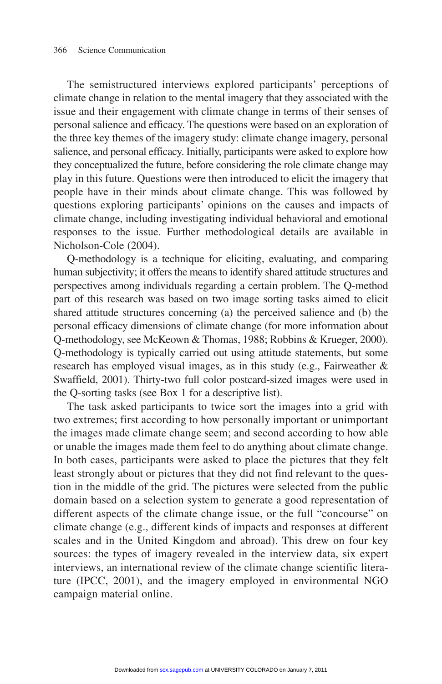The semistructured interviews explored participants' perceptions of climate change in relation to the mental imagery that they associated with the issue and their engagement with climate change in terms of their senses of personal salience and efficacy. The questions were based on an exploration of the three key themes of the imagery study: climate change imagery, personal salience, and personal efficacy. Initially, participants were asked to explore how they conceptualized the future, before considering the role climate change may play in this future. Questions were then introduced to elicit the imagery that people have in their minds about climate change. This was followed by questions exploring participants' opinions on the causes and impacts of climate change, including investigating individual behavioral and emotional responses to the issue. Further methodological details are available in Nicholson-Cole (2004).

Q-methodology is a technique for eliciting, evaluating, and comparing human subjectivity; it offers the means to identify shared attitude structures and perspectives among individuals regarding a certain problem. The Q-method part of this research was based on two image sorting tasks aimed to elicit shared attitude structures concerning (a) the perceived salience and (b) the personal efficacy dimensions of climate change (for more information about Q-methodology, see McKeown & Thomas, 1988; Robbins & Krueger, 2000). Q-methodology is typically carried out using attitude statements, but some research has employed visual images, as in this study (e.g., Fairweather & Swaffield, 2001). Thirty-two full color postcard-sized images were used in the Q-sorting tasks (see Box 1 for a descriptive list).

The task asked participants to twice sort the images into a grid with two extremes; first according to how personally important or unimportant the images made climate change seem; and second according to how able or unable the images made them feel to do anything about climate change. In both cases, participants were asked to place the pictures that they felt least strongly about or pictures that they did not find relevant to the question in the middle of the grid. The pictures were selected from the public domain based on a selection system to generate a good representation of different aspects of the climate change issue, or the full "concourse" on climate change (e.g., different kinds of impacts and responses at different scales and in the United Kingdom and abroad). This drew on four key sources: the types of imagery revealed in the interview data, six expert interviews, an international review of the climate change scientific literature (IPCC, 2001), and the imagery employed in environmental NGO campaign material online.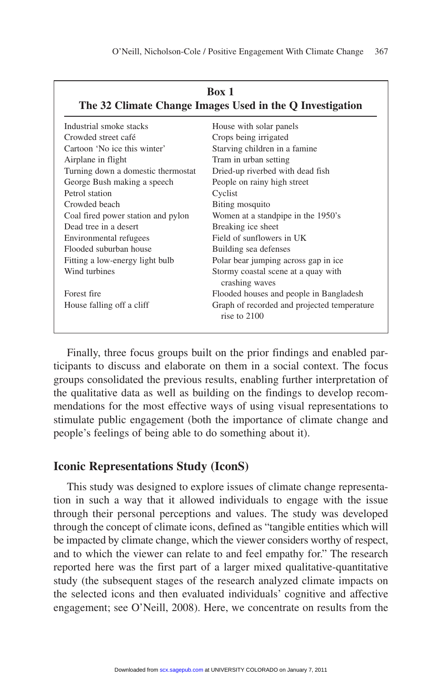| <b>Box 1</b><br>The 32 Climate Change Images Used in the Q Investigation |                                                               |  |  |
|--------------------------------------------------------------------------|---------------------------------------------------------------|--|--|
| Industrial smoke stacks                                                  | House with solar panels                                       |  |  |
| Crowded street café                                                      | Crops being irrigated                                         |  |  |
| Cartoon 'No ice this winter'                                             | Starving children in a famine                                 |  |  |
| Airplane in flight                                                       | Tram in urban setting                                         |  |  |
| Turning down a domestic thermostat                                       | Dried-up riverbed with dead fish                              |  |  |
| George Bush making a speech                                              | People on rainy high street                                   |  |  |
| Petrol station                                                           | Cyclist                                                       |  |  |
| Crowded beach                                                            | Biting mosquito                                               |  |  |
| Coal fired power station and pylon                                       | Women at a standpipe in the 1950's                            |  |  |
| Dead tree in a desert                                                    | Breaking ice sheet                                            |  |  |
| Environmental refugees                                                   | Field of sunflowers in UK                                     |  |  |
| Flooded suburban house                                                   | Building sea defenses                                         |  |  |
| Fitting a low-energy light bulb                                          | Polar bear jumping across gap in ice                          |  |  |
| Wind turbines                                                            | Stormy coastal scene at a quay with<br>crashing waves         |  |  |
| Forest fire                                                              | Flooded houses and people in Bangladesh                       |  |  |
| House falling off a cliff                                                | Graph of recorded and projected temperature<br>rise to $2100$ |  |  |

Finally, three focus groups built on the prior findings and enabled participants to discuss and elaborate on them in a social context. The focus groups consolidated the previous results, enabling further interpretation of the qualitative data as well as building on the findings to develop recommendations for the most effective ways of using visual representations to stimulate public engagement (both the importance of climate change and people's feelings of being able to do something about it).

### **Iconic Representations Study (IconS)**

This study was designed to explore issues of climate change representation in such a way that it allowed individuals to engage with the issue through their personal perceptions and values. The study was developed through the concept of climate icons, defined as "tangible entities which will be impacted by climate change, which the viewer considers worthy of respect, and to which the viewer can relate to and feel empathy for." The research reported here was the first part of a larger mixed qualitative-quantitative study (the subsequent stages of the research analyzed climate impacts on the selected icons and then evaluated individuals' cognitive and affective engagement; see O'Neill, 2008). Here, we concentrate on results from the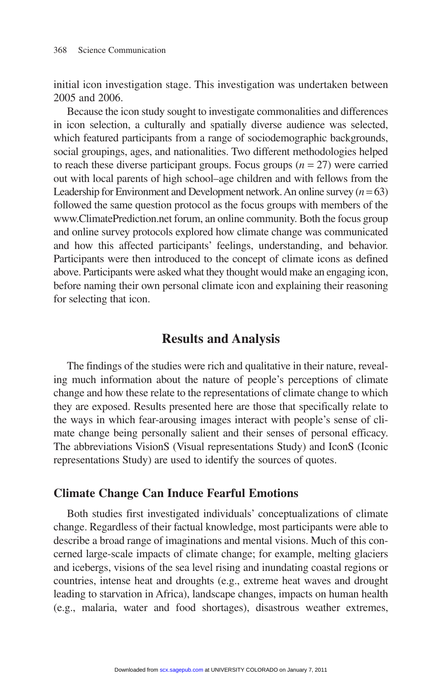initial icon investigation stage. This investigation was undertaken between 2005 and 2006.

Because the icon study sought to investigate commonalities and differences in icon selection, a culturally and spatially diverse audience was selected, which featured participants from a range of sociodemographic backgrounds, social groupings, ages, and nationalities. Two different methodologies helped to reach these diverse participant groups. Focus groups  $(n = 27)$  were carried out with local parents of high school–age children and with fellows from the Leadership for Environment and Development network. An online survey  $(n = 63)$ followed the same question protocol as the focus groups with members of the www.ClimatePrediction.net forum, an online community. Both the focus group and online survey protocols explored how climate change was communicated and how this affected participants' feelings, understanding, and behavior. Participants were then introduced to the concept of climate icons as defined above. Participants were asked what they thought would make an engaging icon, before naming their own personal climate icon and explaining their reasoning for selecting that icon.

## **Results and Analysis**

The findings of the studies were rich and qualitative in their nature, revealing much information about the nature of people's perceptions of climate change and how these relate to the representations of climate change to which they are exposed. Results presented here are those that specifically relate to the ways in which fear-arousing images interact with people's sense of climate change being personally salient and their senses of personal efficacy. The abbreviations VisionS (Visual representations Study) and IconS (Iconic representations Study) are used to identify the sources of quotes.

### **Climate Change Can Induce Fearful Emotions**

Both studies first investigated individuals' conceptualizations of climate change. Regardless of their factual knowledge, most participants were able to describe a broad range of imaginations and mental visions. Much of this concerned large-scale impacts of climate change; for example, melting glaciers and icebergs, visions of the sea level rising and inundating coastal regions or countries, intense heat and droughts (e.g., extreme heat waves and drought leading to starvation in Africa), landscape changes, impacts on human health (e.g., malaria, water and food shortages), disastrous weather extremes,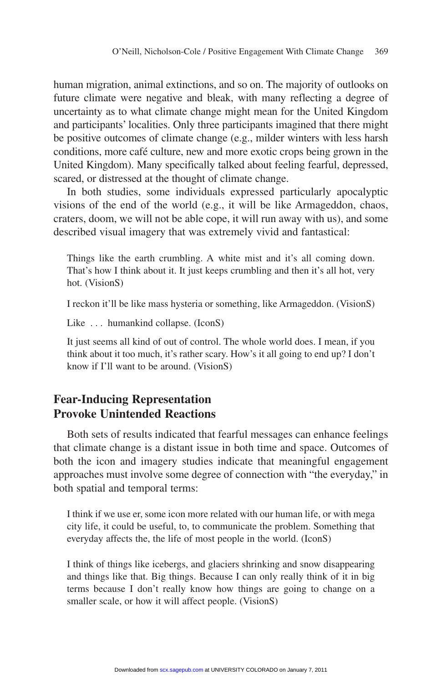human migration, animal extinctions, and so on. The majority of outlooks on future climate were negative and bleak, with many reflecting a degree of uncertainty as to what climate change might mean for the United Kingdom and participants' localities. Only three participants imagined that there might be positive outcomes of climate change (e.g., milder winters with less harsh conditions, more café culture, new and more exotic crops being grown in the United Kingdom). Many specifically talked about feeling fearful, depressed, scared, or distressed at the thought of climate change.

In both studies, some individuals expressed particularly apocalyptic visions of the end of the world (e.g., it will be like Armageddon, chaos, craters, doom, we will not be able cope, it will run away with us), and some described visual imagery that was extremely vivid and fantastical:

Things like the earth crumbling. A white mist and it's all coming down. That's how I think about it. It just keeps crumbling and then it's all hot, very hot. (VisionS)

I reckon it'll be like mass hysteria or something, like Armageddon. (VisionS)

Like ... humankind collapse. (IconS)

It just seems all kind of out of control. The whole world does. I mean, if you think about it too much, it's rather scary. How's it all going to end up? I don't know if I'll want to be around. (VisionS)

## **Fear-Inducing Representation Provoke Unintended Reactions**

Both sets of results indicated that fearful messages can enhance feelings that climate change is a distant issue in both time and space. Outcomes of both the icon and imagery studies indicate that meaningful engagement approaches must involve some degree of connection with "the everyday," in both spatial and temporal terms:

I think if we use er, some icon more related with our human life, or with mega city life, it could be useful, to, to communicate the problem. Something that everyday affects the, the life of most people in the world. (IconS)

I think of things like icebergs, and glaciers shrinking and snow disappearing and things like that. Big things. Because I can only really think of it in big terms because I don't really know how things are going to change on a smaller scale, or how it will affect people. (VisionS)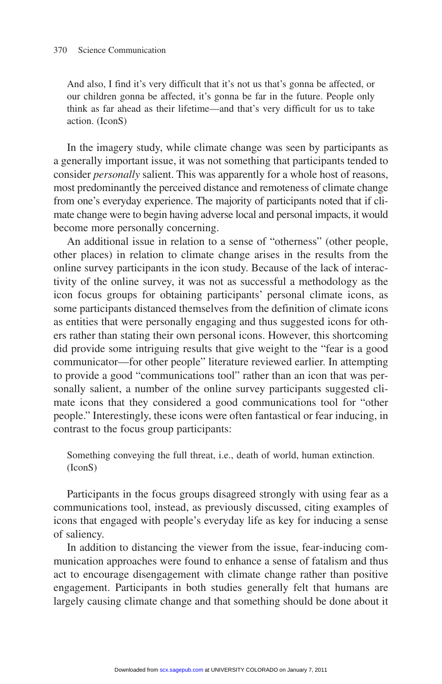And also, I find it's very difficult that it's not us that's gonna be affected, or our children gonna be affected, it's gonna be far in the future. People only think as far ahead as their lifetime—and that's very difficult for us to take action. (IconS)

In the imagery study, while climate change was seen by participants as a generally important issue, it was not something that participants tended to consider *personally* salient. This was apparently for a whole host of reasons, most predominantly the perceived distance and remoteness of climate change from one's everyday experience. The majority of participants noted that if climate change were to begin having adverse local and personal impacts, it would become more personally concerning.

An additional issue in relation to a sense of "otherness" (other people, other places) in relation to climate change arises in the results from the online survey participants in the icon study. Because of the lack of interactivity of the online survey, it was not as successful a methodology as the icon focus groups for obtaining participants' personal climate icons, as some participants distanced themselves from the definition of climate icons as entities that were personally engaging and thus suggested icons for others rather than stating their own personal icons. However, this shortcoming did provide some intriguing results that give weight to the "fear is a good communicator—for other people" literature reviewed earlier. In attempting to provide a good "communications tool" rather than an icon that was personally salient, a number of the online survey participants suggested climate icons that they considered a good communications tool for "other people." Interestingly, these icons were often fantastical or fear inducing, in contrast to the focus group participants:

Something conveying the full threat, i.e., death of world, human extinction. (IconS)

Participants in the focus groups disagreed strongly with using fear as a communications tool, instead, as previously discussed, citing examples of icons that engaged with people's everyday life as key for inducing a sense of saliency.

In addition to distancing the viewer from the issue, fear-inducing communication approaches were found to enhance a sense of fatalism and thus act to encourage disengagement with climate change rather than positive engagement. Participants in both studies generally felt that humans are largely causing climate change and that something should be done about it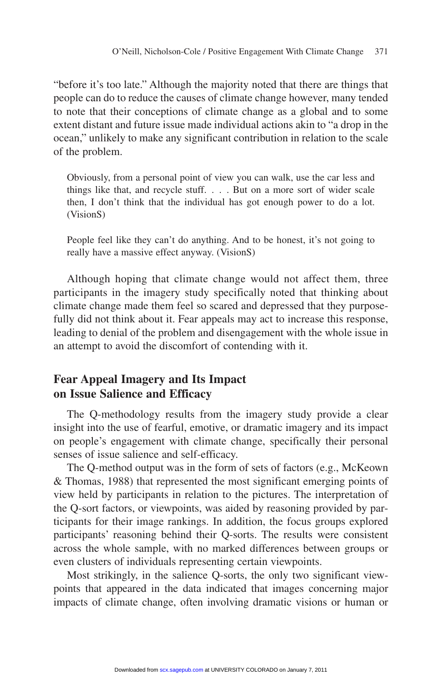"before it's too late." Although the majority noted that there are things that people can do to reduce the causes of climate change however, many tended to note that their conceptions of climate change as a global and to some extent distant and future issue made individual actions akin to "a drop in the ocean," unlikely to make any significant contribution in relation to the scale of the problem.

Obviously, from a personal point of view you can walk, use the car less and things like that, and recycle stuff. . . . But on a more sort of wider scale then, I don't think that the individual has got enough power to do a lot. (VisionS)

People feel like they can't do anything. And to be honest, it's not going to really have a massive effect anyway. (VisionS)

Although hoping that climate change would not affect them, three participants in the imagery study specifically noted that thinking about climate change made them feel so scared and depressed that they purposefully did not think about it. Fear appeals may act to increase this response, leading to denial of the problem and disengagement with the whole issue in an attempt to avoid the discomfort of contending with it.

## **Fear Appeal Imagery and Its Impact on Issue Salience and Efficacy**

The Q-methodology results from the imagery study provide a clear insight into the use of fearful, emotive, or dramatic imagery and its impact on people's engagement with climate change, specifically their personal senses of issue salience and self-efficacy.

The Q-method output was in the form of sets of factors (e.g., McKeown & Thomas, 1988) that represented the most significant emerging points of view held by participants in relation to the pictures. The interpretation of the Q-sort factors, or viewpoints, was aided by reasoning provided by participants for their image rankings. In addition, the focus groups explored participants' reasoning behind their Q-sorts. The results were consistent across the whole sample, with no marked differences between groups or even clusters of individuals representing certain viewpoints.

Most strikingly, in the salience Q-sorts, the only two significant viewpoints that appeared in the data indicated that images concerning major impacts of climate change, often involving dramatic visions or human or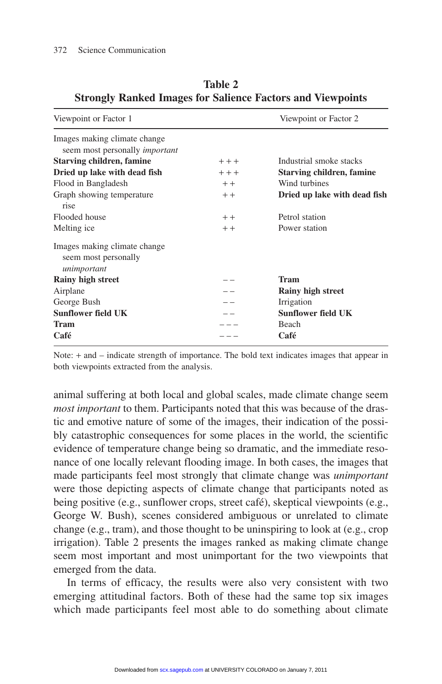| Viewpoint or Factor 1                                                 |         | Viewpoint or Factor 2            |
|-----------------------------------------------------------------------|---------|----------------------------------|
| Images making climate change<br>seem most personally <i>important</i> |         |                                  |
| <b>Starving children, famine</b>                                      | $+ + +$ | Industrial smoke stacks          |
| Dried up lake with dead fish                                          | $+ + +$ | <b>Starving children, famine</b> |
| Flood in Bangladesh                                                   | $++$    | Wind turbines                    |
| Graph showing temperature<br>rise                                     | $++$    | Dried up lake with dead fish     |
| Flooded house                                                         | $++$    | Petrol station                   |
| Melting ice                                                           | $+ +$   | Power station                    |
| Images making climate change<br>seem most personally<br>unimportant   |         |                                  |
| <b>Rainy high street</b>                                              |         | Tram                             |
| Airplane                                                              |         | Rainy high street                |
| George Bush                                                           |         | Irrigation                       |
| <b>Sunflower field UK</b>                                             |         | <b>Sunflower field UK</b>        |
| Tram                                                                  |         | Beach                            |
| Café                                                                  |         | Café                             |
|                                                                       |         |                                  |

**Table 2 Strongly Ranked Images for Salience Factors and Viewpoints**

Note: + and – indicate strength of importance. The bold text indicates images that appear in both viewpoints extracted from the analysis.

animal suffering at both local and global scales, made climate change seem *most important* to them. Participants noted that this was because of the drastic and emotive nature of some of the images, their indication of the possibly catastrophic consequences for some places in the world, the scientific evidence of temperature change being so dramatic, and the immediate resonance of one locally relevant flooding image. In both cases, the images that made participants feel most strongly that climate change was *unimportant* were those depicting aspects of climate change that participants noted as being positive (e.g., sunflower crops, street café), skeptical viewpoints (e.g., George W. Bush), scenes considered ambiguous or unrelated to climate change (e.g., tram), and those thought to be uninspiring to look at (e.g., crop irrigation). Table 2 presents the images ranked as making climate change seem most important and most unimportant for the two viewpoints that emerged from the data.

In terms of efficacy, the results were also very consistent with two emerging attitudinal factors. Both of these had the same top six images which made participants feel most able to do something about climate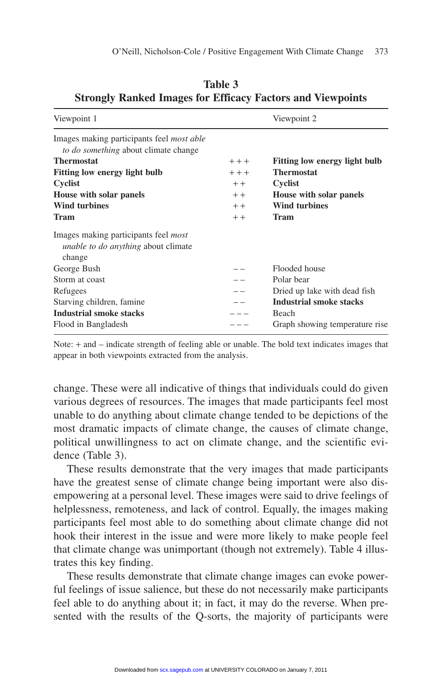| Viewpoint 1                                                                                  |        | Viewpoint 2                    |
|----------------------------------------------------------------------------------------------|--------|--------------------------------|
| Images making participants feel <i>most able</i><br>to do something about climate change     |        |                                |
| <b>Thermostat</b>                                                                            | $+++$  | Fitting low energy light bulb  |
| Fitting low energy light bulb                                                                | $++ +$ | <b>Thermostat</b>              |
| Cyclist                                                                                      | $++$   | Cyclist                        |
| House with solar panels                                                                      | $++$   | House with solar panels        |
| <b>Wind turbines</b>                                                                         | $++$   | <b>Wind turbines</b>           |
| Tram                                                                                         | $++$   | Tram                           |
| Images making participants feel <i>most</i><br>unable to do anything about climate<br>change |        |                                |
| George Bush                                                                                  |        | Flooded house                  |
| Storm at coast                                                                               |        | Polar bear                     |
| Refugees                                                                                     |        | Dried up lake with dead fish   |
| Starving children, famine                                                                    |        | Industrial smoke stacks        |
| Industrial smoke stacks                                                                      |        | Beach                          |
| Flood in Bangladesh                                                                          |        | Graph showing temperature rise |

**Table 3 Strongly Ranked Images for Efficacy Factors and Viewpoints**

Note: + and – indicate strength of feeling able or unable. The bold text indicates images that appear in both viewpoints extracted from the analysis.

change. These were all indicative of things that individuals could do given various degrees of resources. The images that made participants feel most unable to do anything about climate change tended to be depictions of the most dramatic impacts of climate change, the causes of climate change, political unwillingness to act on climate change, and the scientific evidence (Table 3).

These results demonstrate that the very images that made participants have the greatest sense of climate change being important were also disempowering at a personal level. These images were said to drive feelings of helplessness, remoteness, and lack of control. Equally, the images making participants feel most able to do something about climate change did not hook their interest in the issue and were more likely to make people feel that climate change was unimportant (though not extremely). Table 4 illustrates this key finding.

These results demonstrate that climate change images can evoke powerful feelings of issue salience, but these do not necessarily make participants feel able to do anything about it; in fact, it may do the reverse. When presented with the results of the Q-sorts, the majority of participants were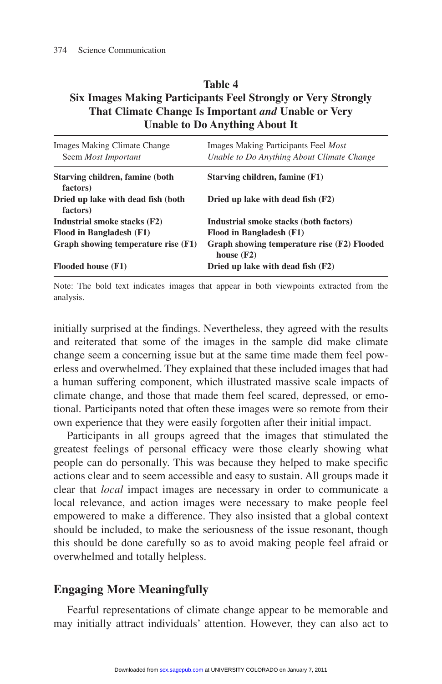## **Table 4 Six Images Making Participants Feel Strongly or Very Strongly That Climate Change Is Important** *and* **Unable or Very Unable to Do Anything About It**

| Images Making Climate Change<br>Seem Most Important | Images Making Participants Feel Most<br>Unable to Do Anything About Climate Change |
|-----------------------------------------------------|------------------------------------------------------------------------------------|
| Starving children, famine (both<br>factors)         | Starving children, famine (F1)                                                     |
| Dried up lake with dead fish (both<br>factors)      | Dried up lake with dead fish (F2)                                                  |
| Industrial smoke stacks (F2)                        | Industrial smoke stacks (both factors)                                             |
| Flood in Bangladesh (F1)                            | Flood in Bangladesh (F1)                                                           |
| Graph showing temperature rise (F1)                 | Graph showing temperature rise (F2) Flooded<br>house $(F2)$                        |
| Flooded house (F1)                                  | Dried up lake with dead fish (F2)                                                  |

Note: The bold text indicates images that appear in both viewpoints extracted from the analysis.

initially surprised at the findings. Nevertheless, they agreed with the results and reiterated that some of the images in the sample did make climate change seem a concerning issue but at the same time made them feel powerless and overwhelmed. They explained that these included images that had a human suffering component, which illustrated massive scale impacts of climate change, and those that made them feel scared, depressed, or emotional. Participants noted that often these images were so remote from their own experience that they were easily forgotten after their initial impact.

Participants in all groups agreed that the images that stimulated the greatest feelings of personal efficacy were those clearly showing what people can do personally. This was because they helped to make specific actions clear and to seem accessible and easy to sustain. All groups made it clear that *local* impact images are necessary in order to communicate a local relevance, and action images were necessary to make people feel empowered to make a difference. They also insisted that a global context should be included, to make the seriousness of the issue resonant, though this should be done carefully so as to avoid making people feel afraid or overwhelmed and totally helpless.

#### **Engaging More Meaningfully**

Fearful representations of climate change appear to be memorable and may initially attract individuals' attention. However, they can also act to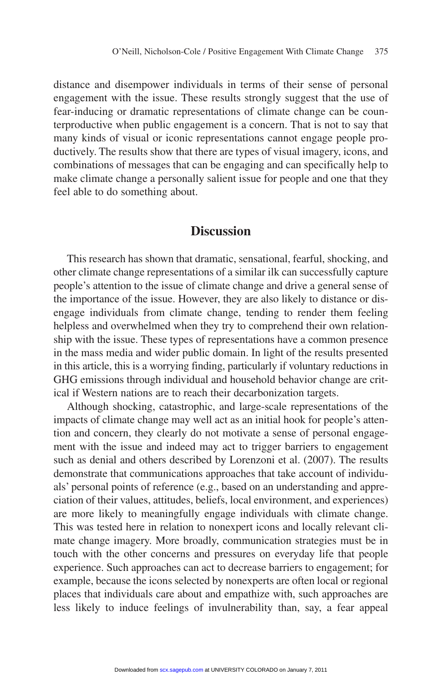distance and disempower individuals in terms of their sense of personal engagement with the issue. These results strongly suggest that the use of fear-inducing or dramatic representations of climate change can be counterproductive when public engagement is a concern. That is not to say that many kinds of visual or iconic representations cannot engage people productively. The results show that there are types of visual imagery, icons, and combinations of messages that can be engaging and can specifically help to make climate change a personally salient issue for people and one that they feel able to do something about.

## **Discussion**

This research has shown that dramatic, sensational, fearful, shocking, and other climate change representations of a similar ilk can successfully capture people's attention to the issue of climate change and drive a general sense of the importance of the issue. However, they are also likely to distance or disengage individuals from climate change, tending to render them feeling helpless and overwhelmed when they try to comprehend their own relationship with the issue. These types of representations have a common presence in the mass media and wider public domain. In light of the results presented in this article, this is a worrying finding, particularly if voluntary reductions in GHG emissions through individual and household behavior change are critical if Western nations are to reach their decarbonization targets.

Although shocking, catastrophic, and large-scale representations of the impacts of climate change may well act as an initial hook for people's attention and concern, they clearly do not motivate a sense of personal engagement with the issue and indeed may act to trigger barriers to engagement such as denial and others described by Lorenzoni et al. (2007). The results demonstrate that communications approaches that take account of individuals' personal points of reference (e.g., based on an understanding and appreciation of their values, attitudes, beliefs, local environment, and experiences) are more likely to meaningfully engage individuals with climate change. This was tested here in relation to nonexpert icons and locally relevant climate change imagery. More broadly, communication strategies must be in touch with the other concerns and pressures on everyday life that people experience. Such approaches can act to decrease barriers to engagement; for example, because the icons selected by nonexperts are often local or regional places that individuals care about and empathize with, such approaches are less likely to induce feelings of invulnerability than, say, a fear appeal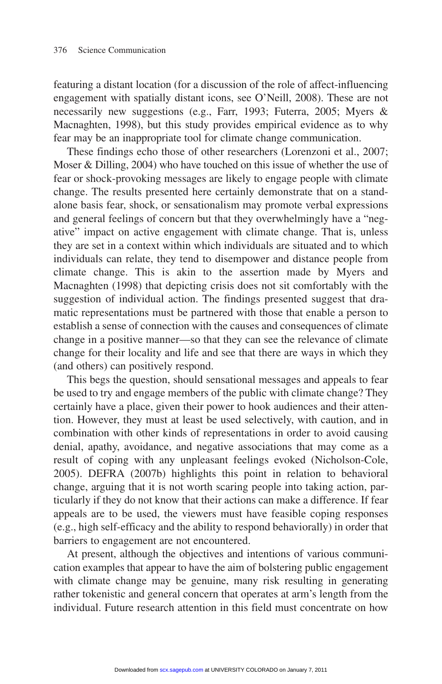featuring a distant location (for a discussion of the role of affect-influencing engagement with spatially distant icons, see O'Neill, 2008). These are not necessarily new suggestions (e.g., Farr, 1993; Futerra, 2005; Myers & Macnaghten, 1998), but this study provides empirical evidence as to why fear may be an inappropriate tool for climate change communication.

These findings echo those of other researchers (Lorenzoni et al., 2007; Moser & Dilling, 2004) who have touched on this issue of whether the use of fear or shock-provoking messages are likely to engage people with climate change. The results presented here certainly demonstrate that on a standalone basis fear, shock, or sensationalism may promote verbal expressions and general feelings of concern but that they overwhelmingly have a "negative" impact on active engagement with climate change. That is, unless they are set in a context within which individuals are situated and to which individuals can relate, they tend to disempower and distance people from climate change. This is akin to the assertion made by Myers and Macnaghten (1998) that depicting crisis does not sit comfortably with the suggestion of individual action. The findings presented suggest that dramatic representations must be partnered with those that enable a person to establish a sense of connection with the causes and consequences of climate change in a positive manner—so that they can see the relevance of climate change for their locality and life and see that there are ways in which they (and others) can positively respond.

This begs the question, should sensational messages and appeals to fear be used to try and engage members of the public with climate change? They certainly have a place, given their power to hook audiences and their attention. However, they must at least be used selectively, with caution, and in combination with other kinds of representations in order to avoid causing denial, apathy, avoidance, and negative associations that may come as a result of coping with any unpleasant feelings evoked (Nicholson-Cole, 2005). DEFRA (2007b) highlights this point in relation to behavioral change, arguing that it is not worth scaring people into taking action, particularly if they do not know that their actions can make a difference. If fear appeals are to be used, the viewers must have feasible coping responses (e.g., high self-efficacy and the ability to respond behaviorally) in order that barriers to engagement are not encountered.

At present, although the objectives and intentions of various communication examples that appear to have the aim of bolstering public engagement with climate change may be genuine, many risk resulting in generating rather tokenistic and general concern that operates at arm's length from the individual. Future research attention in this field must concentrate on how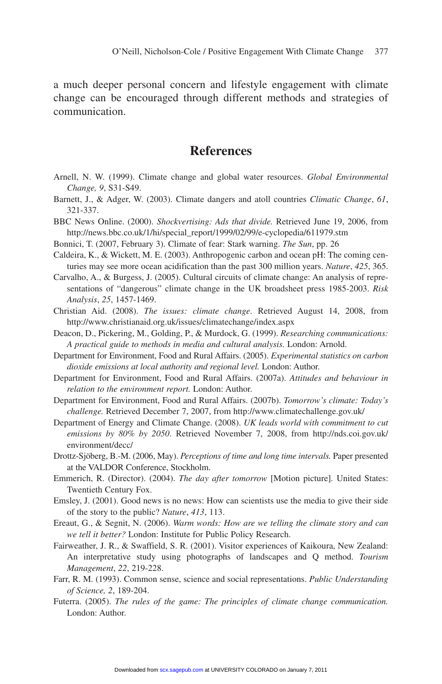a much deeper personal concern and lifestyle engagement with climate change can be encouraged through different methods and strategies of communication.

# **References**

- Arnell, N. W. (1999). Climate change and global water resources. *Global Environmental Change, 9*, S31-S49.
- Barnett, J., & Adger, W. (2003). Climate dangers and atoll countries *Climatic Change*, *61*, 321-337.
- BBC News Online. (2000). *Shockvertising: Ads that divide.* Retrieved June 19, 2006, from http://news.bbc.co.uk/1/hi/special\_report/1999/02/99/e-cyclopedia/611979.stm
- Bonnici, T. (2007, February 3). Climate of fear: Stark warning. *The Sun*, pp. 26
- Caldeira, K., & Wickett, M. E. (2003). Anthropogenic carbon and ocean pH: The coming centuries may see more ocean acidification than the past 300 million years. *Nature*, *425*, 365.
- Carvalho, A., & Burgess, J. (2005). Cultural circuits of climate change: An analysis of representations of "dangerous" climate change in the UK broadsheet press 1985-2003. *Risk Analysis*, *25*, 1457-1469.
- Christian Aid. (2008). *The issues: climate change*. Retrieved August 14, 2008, from http://www.christianaid.org.uk/issues/climatechange/index.aspx
- Deacon, D., Pickering, M., Golding, P., & Murdock, G. (1999). *Researching communications: A practical guide to methods in media and cultural analysis.* London: Arnold.
- Department for Environment, Food and Rural Affairs. (2005). *Experimental statistics on carbon dioxide emissions at local authority and regional level.* London: Author.
- Department for Environment, Food and Rural Affairs. (2007a). *Attitudes and behaviour in relation to the environment report.* London: Author.
- Department for Environment, Food and Rural Affairs. (2007b). *Tomorrow's climate: Today's challenge.* Retrieved December 7, 2007, from http://www.climatechallenge.gov.uk/
- Department of Energy and Climate Change. (2008). *UK leads world with commitment to cut emissions by 80% by 2050*. Retrieved November 7, 2008, from http://nds.coi.gov.uk/ environment/decc/
- Drottz-Sjöberg, B.-M. (2006, May). *Perceptions of time and long time intervals.* Paper presented at the VALDOR Conference, Stockholm.
- Emmerich, R. (Director). (2004). *The day after tomorrow* [Motion picture]*.* United States: Twentieth Century Fox.
- Emsley, J. (2001). Good news is no news: How can scientists use the media to give their side of the story to the public? *Nature*, *413*, 113.
- Ereaut, G., & Segnit, N. (2006). *Warm words: How are we telling the climate story and can we tell it better?* London: Institute for Public Policy Research.
- Fairweather, J. R., & Swaffield, S. R. (2001). Visitor experiences of Kaikoura, New Zealand: An interpretative study using photographs of landscapes and Q method. *Tourism Management*, *22*, 219-228.
- Farr, R. M. (1993). Common sense, science and social representations. *Public Understanding of Science, 2*, 189-204.
- Futerra. (2005). *The rules of the game: The principles of climate change communication.* London: Author.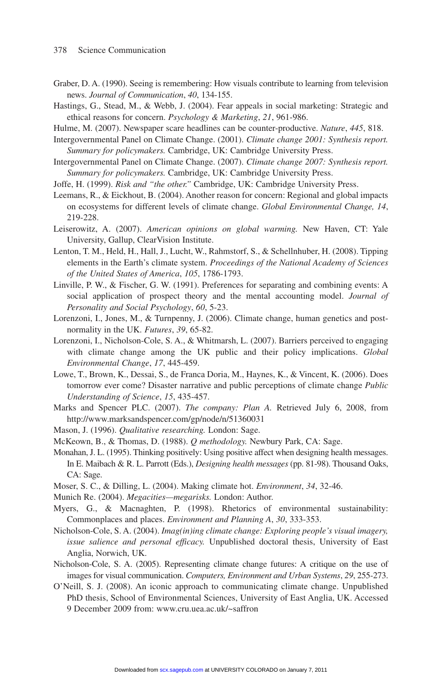- Graber, D. A. (1990). Seeing is remembering: How visuals contribute to learning from television news. *Journal of Communication*, *40*, 134-155.
- Hastings, G., Stead, M., & Webb, J. (2004). Fear appeals in social marketing: Strategic and ethical reasons for concern. *Psychology & Marketing*, *21*, 961-986.
- Hulme, M. (2007). Newspaper scare headlines can be counter-productive. *Nature*, *445*, 818.
- Intergovernmental Panel on Climate Change. (2001). *Climate change 2001: Synthesis report. Summary for policymakers.* Cambridge, UK: Cambridge University Press.
- Intergovernmental Panel on Climate Change. (2007). *Climate change 2007: Synthesis report. Summary for policymakers.* Cambridge, UK: Cambridge University Press.
- Joffe, H. (1999). *Risk and "the other."* Cambridge, UK: Cambridge University Press.
- Leemans, R., & Eickhout, B. (2004). Another reason for concern: Regional and global impacts on ecosystems for different levels of climate change. *Global Environmental Change, 14*, 219-228.
- Leiserowitz, A. (2007). *American opinions on global warming.* New Haven, CT: Yale University, Gallup, ClearVision Institute.
- Lenton, T. M., Held, H., Hall, J., Lucht, W., Rahmstorf, S., & Schellnhuber, H. (2008). Tipping elements in the Earth's climate system. *Proceedings of the National Academy of Sciences of the United States of America*, *105*, 1786-1793.
- Linville, P. W., & Fischer, G. W. (1991). Preferences for separating and combining events: A social application of prospect theory and the mental accounting model. *Journal of Personality and Social Psychology*, *60*, 5-23.
- Lorenzoni, I., Jones, M., & Turnpenny, J. (2006). Climate change, human genetics and postnormality in the UK. *Futures*, *39*, 65-82.
- Lorenzoni, I., Nicholson-Cole, S. A., & Whitmarsh, L. (2007). Barriers perceived to engaging with climate change among the UK public and their policy implications. *Global Environmental Change*, *17*, 445-459.
- Lowe, T., Brown, K., Dessai, S., de Franca Doria, M., Haynes, K., & Vincent, K. (2006). Does tomorrow ever come? Disaster narrative and public perceptions of climate change *Public Understanding of Science*, *15*, 435-457.
- Marks and Spencer PLC. (2007). *The company: Plan A.* Retrieved July 6, 2008, from http://www.marksandspencer.com/gp/node/n/51360031
- Mason, J. (1996). *Qualitative researching.* London: Sage.
- McKeown, B., & Thomas, D. (1988). *Q methodology.* Newbury Park, CA: Sage.
- Monahan, J. L. (1995). Thinking positively: Using positive affect when designing health messages. In E. Maibach & R. L. Parrott (Eds.), *Designing health messages* (pp. 81-98). Thousand Oaks, CA: Sage.
- Moser, S. C., & Dilling, L. (2004). Making climate hot. *Environment*, *34*, 32-46.
- Munich Re. (2004). *Megacities—megarisks.* London: Author.
- Myers, G., & Macnaghten, P. (1998). Rhetorics of environmental sustainability: Commonplaces and places. *Environment and Planning A*, *30*, 333-353.
- Nicholson-Cole, S. A. (2004). *Imag(in)ing climate change: Exploring people's visual imagery, issue salience and personal efficacy.* Unpublished doctoral thesis, University of East Anglia, Norwich, UK.
- Nicholson-Cole, S. A. (2005). Representing climate change futures: A critique on the use of images for visual communication. *Computers, Environment and Urban Systems*, *29*, 255-273.
- O'Neill, S. J. (2008). An iconic approach to communicating climate change. Unpublished PhD thesis, School of Environmental Sciences, University of East Anglia, UK. Accessed 9 December 2009 from: www.cru.uea.ac.uk/~saffron